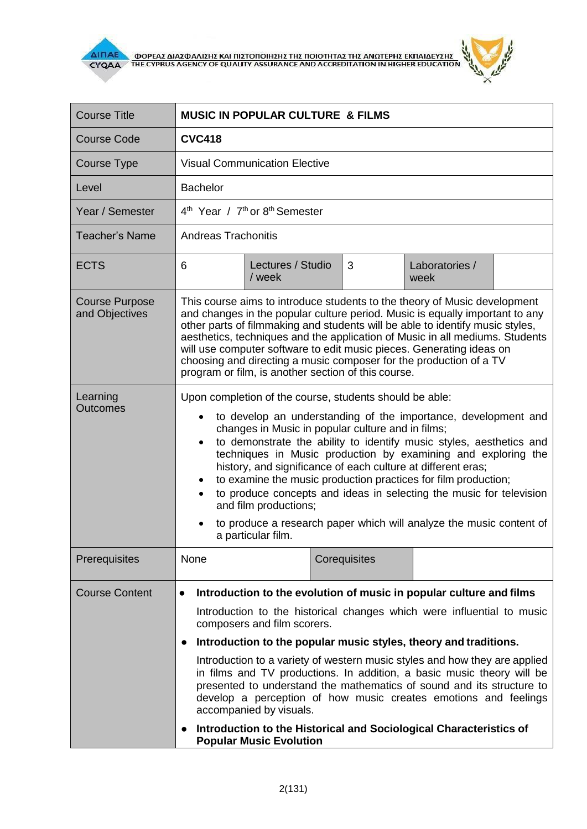



| <b>Course Title</b>                     | <b>MUSIC IN POPULAR CULTURE &amp; FILMS</b>                                                                                                                                                                                                                                                                                                                                                                                                                                                                                                                                                                                                                                                          |                             |  |              |                        |  |
|-----------------------------------------|------------------------------------------------------------------------------------------------------------------------------------------------------------------------------------------------------------------------------------------------------------------------------------------------------------------------------------------------------------------------------------------------------------------------------------------------------------------------------------------------------------------------------------------------------------------------------------------------------------------------------------------------------------------------------------------------------|-----------------------------|--|--------------|------------------------|--|
| Course Code                             | <b>CVC418</b>                                                                                                                                                                                                                                                                                                                                                                                                                                                                                                                                                                                                                                                                                        |                             |  |              |                        |  |
| Course Type                             | <b>Visual Communication Elective</b>                                                                                                                                                                                                                                                                                                                                                                                                                                                                                                                                                                                                                                                                 |                             |  |              |                        |  |
| Level                                   | <b>Bachelor</b>                                                                                                                                                                                                                                                                                                                                                                                                                                                                                                                                                                                                                                                                                      |                             |  |              |                        |  |
| Year / Semester                         | 4 <sup>th</sup> Year / 7 <sup>th</sup> or 8 <sup>th</sup> Semester                                                                                                                                                                                                                                                                                                                                                                                                                                                                                                                                                                                                                                   |                             |  |              |                        |  |
| <b>Teacher's Name</b>                   | <b>Andreas Trachonitis</b>                                                                                                                                                                                                                                                                                                                                                                                                                                                                                                                                                                                                                                                                           |                             |  |              |                        |  |
| <b>ECTS</b>                             | 6                                                                                                                                                                                                                                                                                                                                                                                                                                                                                                                                                                                                                                                                                                    | Lectures / Studio<br>/ week |  | 3            | Laboratories /<br>week |  |
| <b>Course Purpose</b><br>and Objectives | This course aims to introduce students to the theory of Music development<br>and changes in the popular culture period. Music is equally important to any<br>other parts of filmmaking and students will be able to identify music styles,<br>aesthetics, techniques and the application of Music in all mediums. Students<br>will use computer software to edit music pieces. Generating ideas on<br>choosing and directing a music composer for the production of a TV<br>program or film, is another section of this course.                                                                                                                                                                      |                             |  |              |                        |  |
| Learning<br><b>Outcomes</b>             | Upon completion of the course, students should be able:<br>to develop an understanding of the importance, development and<br>$\bullet$<br>changes in Music in popular culture and in films;<br>to demonstrate the ability to identify music styles, aesthetics and<br>$\bullet$<br>techniques in Music production by examining and exploring the<br>history, and significance of each culture at different eras;<br>to examine the music production practices for film production;<br>٠<br>to produce concepts and ideas in selecting the music for television<br>and film productions;<br>to produce a research paper which will analyze the music content of<br>a particular film.                 |                             |  |              |                        |  |
| Prerequisites                           | None                                                                                                                                                                                                                                                                                                                                                                                                                                                                                                                                                                                                                                                                                                 |                             |  | Corequisites |                        |  |
| <b>Course Content</b>                   | Introduction to the evolution of music in popular culture and films<br>Introduction to the historical changes which were influential to music<br>composers and film scorers.<br>Introduction to the popular music styles, theory and traditions.<br>$\bullet$<br>Introduction to a variety of western music styles and how they are applied<br>in films and TV productions. In addition, a basic music theory will be<br>presented to understand the mathematics of sound and its structure to<br>develop a perception of how music creates emotions and feelings<br>accompanied by visuals.<br>Introduction to the Historical and Sociological Characteristics of<br><b>Popular Music Evolution</b> |                             |  |              |                        |  |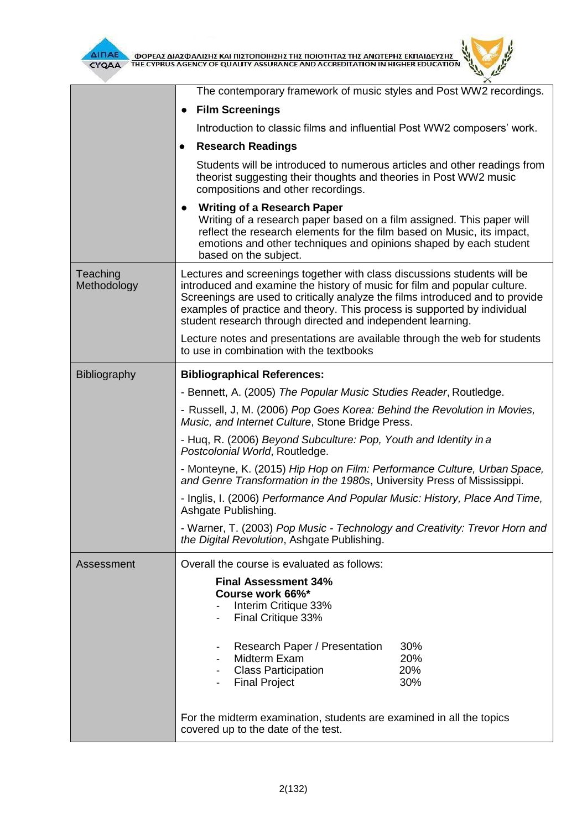

 $\overline{\Delta}$  (ΠΑΕ<br>CYQAA THE CYPRUS AGENCY OF QUALITY ASSURANCE AND ACCREDITATION IN HIGHER EDUCATION

|                         | The contemporary framework of music styles and Post WW2 recordings.                                                                                                                                                                                                                                                                                                               |  |  |  |  |  |
|-------------------------|-----------------------------------------------------------------------------------------------------------------------------------------------------------------------------------------------------------------------------------------------------------------------------------------------------------------------------------------------------------------------------------|--|--|--|--|--|
|                         | <b>Film Screenings</b><br>$\bullet$                                                                                                                                                                                                                                                                                                                                               |  |  |  |  |  |
|                         | Introduction to classic films and influential Post WW2 composers' work.                                                                                                                                                                                                                                                                                                           |  |  |  |  |  |
|                         | <b>Research Readings</b><br>$\bullet$                                                                                                                                                                                                                                                                                                                                             |  |  |  |  |  |
|                         | Students will be introduced to numerous articles and other readings from<br>theorist suggesting their thoughts and theories in Post WW2 music<br>compositions and other recordings.                                                                                                                                                                                               |  |  |  |  |  |
|                         | <b>Writing of a Research Paper</b><br>$\bullet$<br>Writing of a research paper based on a film assigned. This paper will<br>reflect the research elements for the film based on Music, its impact,<br>emotions and other techniques and opinions shaped by each student<br>based on the subject.                                                                                  |  |  |  |  |  |
| Teaching<br>Methodology | Lectures and screenings together with class discussions students will be<br>introduced and examine the history of music for film and popular culture.<br>Screenings are used to critically analyze the films introduced and to provide<br>examples of practice and theory. This process is supported by individual<br>student research through directed and independent learning. |  |  |  |  |  |
|                         | Lecture notes and presentations are available through the web for students<br>to use in combination with the textbooks                                                                                                                                                                                                                                                            |  |  |  |  |  |
| Bibliography            | <b>Bibliographical References:</b>                                                                                                                                                                                                                                                                                                                                                |  |  |  |  |  |
|                         | - Bennett, A. (2005) The Popular Music Studies Reader, Routledge.                                                                                                                                                                                                                                                                                                                 |  |  |  |  |  |
|                         | - Russell, J, M. (2006) Pop Goes Korea: Behind the Revolution in Movies,<br>Music, and Internet Culture, Stone Bridge Press.                                                                                                                                                                                                                                                      |  |  |  |  |  |
|                         | - Huq, R. (2006) Beyond Subculture: Pop, Youth and Identity in a<br>Postcolonial World, Routledge.                                                                                                                                                                                                                                                                                |  |  |  |  |  |
|                         | - Monteyne, K. (2015) Hip Hop on Film: Performance Culture, Urban Space,<br>and Genre Transformation in the 1980s, University Press of Mississippi.                                                                                                                                                                                                                               |  |  |  |  |  |
|                         | - Inglis, I. (2006) Performance And Popular Music: History, Place And Time,<br>Ashgate Publishing.                                                                                                                                                                                                                                                                                |  |  |  |  |  |
|                         | - Warner, T. (2003) Pop Music - Technology and Creativity: Trevor Horn and<br>the Digital Revolution, Ashgate Publishing.                                                                                                                                                                                                                                                         |  |  |  |  |  |
| Assessment              | Overall the course is evaluated as follows:                                                                                                                                                                                                                                                                                                                                       |  |  |  |  |  |
|                         | <b>Final Assessment 34%</b><br>Course work 66%*<br>Interim Critique 33%<br>Final Critique 33%                                                                                                                                                                                                                                                                                     |  |  |  |  |  |
|                         | Research Paper / Presentation<br>30%<br>Midterm Exam<br>20%<br>20%<br><b>Class Participation</b><br>30%<br><b>Final Project</b>                                                                                                                                                                                                                                                   |  |  |  |  |  |
|                         | For the midterm examination, students are examined in all the topics<br>covered up to the date of the test.                                                                                                                                                                                                                                                                       |  |  |  |  |  |